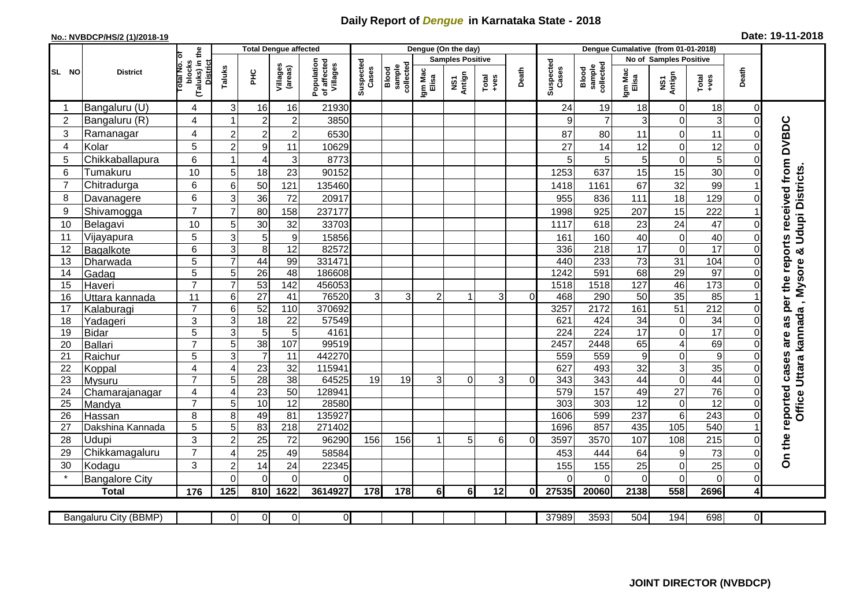## **Daily Report of** *Dengue* **in Karnataka State - 2018**

## **No.: NVBDCP/HS/2 (1)/2018-19 Date: 19-11-2018**

|                 | <b>District</b>       |                                                       | <b>Total Dengue affected</b> |                         |                                                              |                    |                              |                  |                         | Dengue (On the day) |                |                    |                              |                  |                 |                         |                  |                |                                            |
|-----------------|-----------------------|-------------------------------------------------------|------------------------------|-------------------------|--------------------------------------------------------------|--------------------|------------------------------|------------------|-------------------------|---------------------|----------------|--------------------|------------------------------|------------------|-----------------|-------------------------|------------------|----------------|--------------------------------------------|
|                 |                       |                                                       |                              |                         | Population<br>of affected<br>Villages<br>Villages<br>(areas) |                    |                              |                  | <b>Samples Positive</b> |                     |                |                    |                              |                  |                 | No of Samples Positive  |                  |                |                                            |
| SL NO           |                       | (Taluks) in the<br>District<br>Total No. of<br>blocks | Taluks                       | <b>PHC</b>              |                                                              | Suspected<br>Cases | Blood<br>sample<br>collected | Igm Mac<br>Elisa | NS1<br>Antign           | $Tota$<br>$+ves$    | Death          | Suspected<br>Cases | collected<br>Blood<br>sample | Igm Mac<br>Elisa | NS1<br>Antign   | $Tota$<br>$+ves$        | Death            |                |                                            |
|                 | Bangaluru (U)         | 4                                                     | 3                            | 16                      | 16                                                           | 21930              |                              |                  |                         |                     |                |                    | 24                           | 19               | 18              | 0                       | 18               | 0              |                                            |
| $\overline{2}$  | Bangaluru (R)         | 4                                                     |                              | $\overline{2}$          | $\overline{c}$                                               | 3850               |                              |                  |                         |                     |                |                    | 9                            | $\overline{7}$   | 3               | 0                       | 3                | $\mathbf 0$    |                                            |
| 3               | Ramanagar             | 4                                                     | $\overline{2}$               | $\overline{c}$          | $\overline{\mathbf{c}}$                                      | 6530               |                              |                  |                         |                     |                |                    | 87                           | 80               | 11              | $\mathbf 0$             | 11               | $\Omega$       | are as per the reports received from DVBDC |
| 4               | Kolar                 | 5                                                     | $\overline{2}$               | $\boldsymbol{9}$        | 11                                                           | 10629              |                              |                  |                         |                     |                |                    | 27                           | 14               | 12              | 0                       | 12               | $\Omega$       |                                            |
| 5               | Chikkaballapura       | 6                                                     |                              | $\overline{4}$          | 3                                                            | 8773               |                              |                  |                         |                     |                |                    | 5                            | 5                | 5               | $\mathbf 0$             | 5                | $\Omega$       |                                            |
| 6               | Tumakuru              | 10                                                    | 5                            | 18                      | 23                                                           | 90152              |                              |                  |                         |                     |                |                    | 1253                         | 637              | 15              | 15                      | 30               | 0              | Udupi Districts.                           |
| $\overline{7}$  | Chitradurga           | 6                                                     | 6                            | 50                      | 121                                                          | 135460             |                              |                  |                         |                     |                |                    | 1418                         | 1161             | 67              | 32                      | 99               |                |                                            |
| 8               | Davanagere            | 6                                                     | 3                            | 36                      | 72                                                           | 20917              |                              |                  |                         |                     |                |                    | 955                          | 836              | 111             | 18                      | 129              | $\Omega$       |                                            |
| 9               | Shivamogga            | $\overline{7}$                                        | $\overline{7}$               | 80                      | 158                                                          | 237177             |                              |                  |                         |                     |                |                    | 1998                         | 925              | 207             | 15                      | 222              |                |                                            |
| 10              | Belagavi              | 10                                                    | 5                            | 30                      | 32                                                           | 33703              |                              |                  |                         |                     |                |                    | 1117                         | 618              | 23              | 24                      | 47               | $\Omega$       |                                            |
| 11              | Vijayapura            | 5                                                     | 3                            | 5                       | 9                                                            | 15856              |                              |                  |                         |                     |                |                    | 161                          | 160              | 40              | 0                       | 40               | $\Omega$       |                                            |
| 12              | Bagalkote             | 6                                                     | 3                            | $\overline{8}$          | $\overline{12}$                                              | 82572              |                              |                  |                         |                     |                |                    | 336                          | $\overline{218}$ | $\overline{17}$ | 0                       | 17               | $\mathbf 0$    | න්                                         |
| 13              | Dharwada              | 5                                                     | $\overline{7}$               | 44                      | 99                                                           | 331471             |                              |                  |                         |                     |                |                    | 440                          | 233              | $\overline{73}$ | $\overline{31}$         | 104              | $\mathbf 0$    |                                            |
| 14              | Gadag                 | $\overline{5}$                                        | 5                            | $\overline{26}$         | 48                                                           | 186608             |                              |                  |                         |                     |                |                    | 1242                         | 591              | 68              | 29                      | 97               | $\mathbf 0$    |                                            |
| 15              | Haveri                | $\overline{7}$                                        | $\overline{7}$               | 53                      | 142                                                          | 456053             |                              |                  |                         |                     |                |                    | 1518                         | 1518             | 127             | 46                      | 173              | $\mathbf 0$    | , Mysore                                   |
| 16              | Uttara kannada        | 11                                                    | 6                            | $\overline{27}$         | 41                                                           | 76520              | 3                            | $\overline{3}$   | 2                       |                     | 3 <sup>1</sup> | $\Omega$           | 468                          | 290              | 50              | 35                      | 85               |                |                                            |
| 17              | Kalaburagi            | $\overline{7}$                                        | 6                            | 52                      | 110                                                          | 370692             |                              |                  |                         |                     |                |                    | 3257                         | 2172             | 161             | $\overline{51}$         | $\overline{212}$ | $\Omega$       |                                            |
| 18              | Yadageri              | 3                                                     | 3                            | 18                      | 22                                                           | 57549              |                              |                  |                         |                     |                |                    | 621                          | 424              | 34              | $\pmb{0}$               | 34               | $\Omega$       |                                            |
| 19              | <b>Bidar</b>          | 5                                                     | 3                            | $\overline{5}$          | $\sqrt{5}$                                                   | 4161               |                              |                  |                         |                     |                |                    | 224                          | 224              | $\overline{17}$ | 0                       | 17               | $\Omega$       |                                            |
| 20              | Ballari               | $\overline{7}$                                        | 5                            | 38                      | 107                                                          | 99519              |                              |                  |                         |                     |                |                    | 2457                         | 2448             | 65              | $\overline{\mathbf{4}}$ | 69               | $\mathbf 0$    | Office Uttara kannada                      |
| 21              | Raichur               | $\overline{5}$                                        | 3                            | $\overline{\mathbf{7}}$ | 11                                                           | 442270             |                              |                  |                         |                     |                |                    | 559                          | 559              | $\overline{9}$  | 0                       | $\overline{9}$   | $\Omega$       |                                            |
| 22              | Koppal                | 4                                                     | $\overline{4}$               | 23                      | 32                                                           | 115941             |                              |                  |                         |                     |                |                    | 627                          | 493              | 32              | 3                       | 35               | $\mathbf 0$    |                                            |
| 23              | Mysuru                | $\overline{7}$                                        | 5                            | 28                      | $\overline{38}$                                              | 64525              | 19                           | 19               | 3                       | 0                   | 3              | 0                  | 343                          | 343              | 44              | 0                       | 44               | $\Omega$       |                                            |
| $\overline{24}$ | Chamarajanagar        | 4                                                     | $\overline{4}$               | 23                      | 50                                                           | 128941             |                              |                  |                         |                     |                |                    | 579                          | 157              | 49              | $\overline{27}$         | 76               | $\mathbf 0$    |                                            |
| 25              | Mandya                | $\overline{7}$                                        | 5                            | 10                      | $\overline{12}$                                              | 28580              |                              |                  |                         |                     |                |                    | 303                          | 303              | $\overline{12}$ | $\mathbf 0$             | $\overline{12}$  | $\Omega$       |                                            |
| 26              | Hassan                | 8                                                     | 8                            | 49                      | 81                                                           | 135927             |                              |                  |                         |                     |                |                    | 1606                         | 599              | 237             | $\,6\,$                 | 243              | $\mathbf 0$    |                                            |
| 27              | Dakshina Kannada      | $\overline{5}$                                        | 5                            | 83                      | $\overline{218}$                                             | 271402             |                              |                  |                         |                     |                |                    | 1696                         | 857              | 435             | 105                     | 540              |                |                                            |
| 28              | Udupi                 | 3                                                     | $\overline{2}$               | 25                      | 72                                                           | 96290              | 156                          | 156              |                         | 5                   | 6              | $\Omega$           | 3597                         | 3570             | 107             | 108                     | 215              | 0              |                                            |
| 29              | Chikkamagaluru        | $\overline{7}$                                        | $\overline{4}$               | 25                      | 49                                                           | 58584              |                              |                  |                         |                     |                |                    | 453                          | 444              | 64              | 9                       | 73               | $\Omega$       | On the reported cases                      |
| 30              | Kodagu                | 3                                                     | $\overline{2}$               | 14                      | 24                                                           | 22345              |                              |                  |                         |                     |                |                    | 155                          | 155              | 25              | $\mathbf 0$             | 25               | $\mathbf 0$    |                                            |
|                 | <b>Bangalore City</b> |                                                       | $\mathbf{0}$                 | $\overline{0}$          | $\mathbf 0$                                                  | $\Omega$           |                              |                  |                         |                     |                |                    | $\Omega$                     | $\overline{0}$   | 0               | $\overline{0}$          | $\mathbf 0$      | $\mathbf 0$    |                                            |
|                 | <b>Total</b>          | 176                                                   | 125                          | 810                     | 1622                                                         | 3614927            | 178                          | 178              | 6 <sup>1</sup>          | 6 <sup>1</sup>      | 12             | Οl                 | 27535                        | 20060            | 2138            | 558                     | 2696             | 4              |                                            |
|                 |                       |                                                       |                              |                         |                                                              |                    |                              |                  |                         |                     |                |                    |                              |                  |                 |                         |                  |                |                                            |
|                 | Bangaluru City (BBMP) |                                                       | 0                            | $\overline{0}$          | 0                                                            | $\overline{0}$     |                              |                  |                         |                     |                |                    | 37989                        | 3593             | 504             | 194                     | 698              | $\overline{0}$ |                                            |